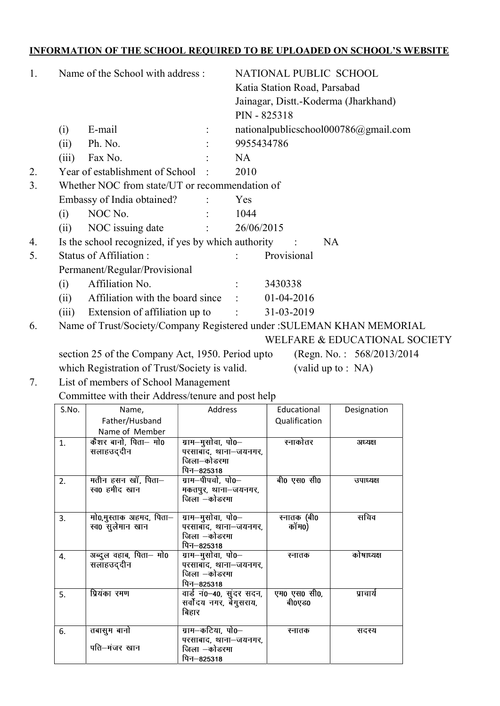## INFORMATION OF THE SCHOOL REQUIRED TO BE UPLOADED ON SCHOOL'S WEBSITE

| 1. | Name of the School with address: |                                                                        |         | NATIONAL PUBLIC SCHOOL       |                                                      |                                      |  |  |  |
|----|----------------------------------|------------------------------------------------------------------------|---------|------------------------------|------------------------------------------------------|--------------------------------------|--|--|--|
|    |                                  |                                                                        |         | Katia Station Road, Parsabad |                                                      |                                      |  |  |  |
|    |                                  |                                                                        |         |                              | Jainagar, Distt.-Koderma (Jharkhand)<br>PIN - 825318 |                                      |  |  |  |
|    |                                  |                                                                        |         |                              |                                                      |                                      |  |  |  |
|    | (i)                              | E-mail                                                                 |         |                              |                                                      | nationalpublicschool000786@gmail.com |  |  |  |
|    | (ii)                             | Ph. No.                                                                |         | 9955434786                   |                                                      |                                      |  |  |  |
|    | (iii)                            | Fax No.                                                                |         | <b>NA</b>                    |                                                      |                                      |  |  |  |
| 2. |                                  | Year of establishment of School                                        |         | 2010                         |                                                      |                                      |  |  |  |
| 3. |                                  | Whether NOC from state/UT or recommendation of                         |         |                              |                                                      |                                      |  |  |  |
|    |                                  | Embassy of India obtained?                                             |         | Yes                          |                                                      |                                      |  |  |  |
|    | (i)                              | NOC No.                                                                |         | 1044                         |                                                      |                                      |  |  |  |
|    | (ii)                             | NOC issuing date                                                       |         | 26/06/2015                   |                                                      |                                      |  |  |  |
| 4. |                                  | Is the school recognized, if yes by which authority                    |         |                              |                                                      | <b>NA</b>                            |  |  |  |
| 5. |                                  | Status of Affiliation:                                                 |         |                              | Provisional                                          |                                      |  |  |  |
|    |                                  | Permanent/Regular/Provisional                                          |         |                              |                                                      |                                      |  |  |  |
|    | (i)                              | Affiliation No.                                                        |         |                              | 3430338                                              |                                      |  |  |  |
|    | (ii)                             | Affiliation with the board since                                       |         |                              | $01-04-2016$                                         |                                      |  |  |  |
|    | (iii)                            | Extension of affiliation up to                                         |         | $\mathbb{R}^n$               | 31-03-2019                                           |                                      |  |  |  |
| 6. |                                  | Name of Trust/Society/Company Registered under : SULEMAN KHAN MEMORIAL |         |                              |                                                      |                                      |  |  |  |
|    |                                  |                                                                        |         |                              |                                                      | WELFARE & EDUCATIONAL SOCIETY        |  |  |  |
|    |                                  | section 25 of the Company Act, 1950. Period upto                       |         |                              |                                                      | (Regn. No.: $568/2013/2014$ )        |  |  |  |
|    |                                  | which Registration of Trust/Society is valid.                          |         |                              | (valid up to : $NA$ )                                |                                      |  |  |  |
| 7. |                                  | List of members of School Management                                   |         |                              |                                                      |                                      |  |  |  |
|    |                                  | Committee with their Address/tenure and post help                      |         |                              |                                                      |                                      |  |  |  |
|    | S.No.                            | Name,                                                                  | Address |                              | Educational                                          | Designation                          |  |  |  |
|    |                                  | Father/Husband                                                         |         |                              | Qualification                                        |                                      |  |  |  |
|    |                                  | Name of Member                                                         |         |                              |                                                      |                                      |  |  |  |

|    | Father/Husband                              |                                                                          | Qualification          |            |
|----|---------------------------------------------|--------------------------------------------------------------------------|------------------------|------------|
|    | Name of Member                              |                                                                          |                        |            |
| 1. | कैशर बानो, पिता— मो0<br>सलाहउद्दीन          | ग्राम–मुसोवा, पो0–<br>परसाबाद, थाना-जयनगर,<br>जिला—कोडरमा<br>पिन–825318  | स्नाकोतर               | अध्यक्ष    |
| 2. | मतीन हसन खॉं, पिता–<br>स्व0 हमीद खान        | ग्राम–पीपचो, पो0–<br>मकतपुर, थाना–जयनगर,<br>जिला –कोडरमा                 | बी0 एस0 सी0            | उपाध्यक्ष  |
| 3. | मो0,मुस्ताक अहमद, पिता—<br>स्व0 सुलेमान खान | ग्राम—मुसोवा, पो0—<br>परसाबाद, थाना-जयनगर,<br>जिला –कोडरमा<br>पिन—825318 | स्नातक (बी0<br>कॉम0)   | सचिव       |
| 4. | अब्दुल वहाब, पिता— मो0<br>सलाहउद्दीन        | ग्राम—मुसोवा, पो0—<br>परसाबाद, थाना-जयनगर,<br>जिला –कोडरमा<br>पिन—825318 | स्नातक                 | कोषाध्यक्ष |
| 5. | प्रियंका रमण                                | वार्ड न0–40, सुंदर सदन,<br>सर्वोदय नगर, बेगुसराय,<br>बिहार               | एम0 एस0 सी0,<br>बी0एड0 | प्राचार्य  |
| 6. | तबासुम बानो<br>पति-मंजर खान                 | ग्राम—कटिया, पो0—<br>परसाबाद, थाना-जयनगर,<br>जिला —कोडरमा<br>पिन—825318  | स्नातक                 | सदस्य      |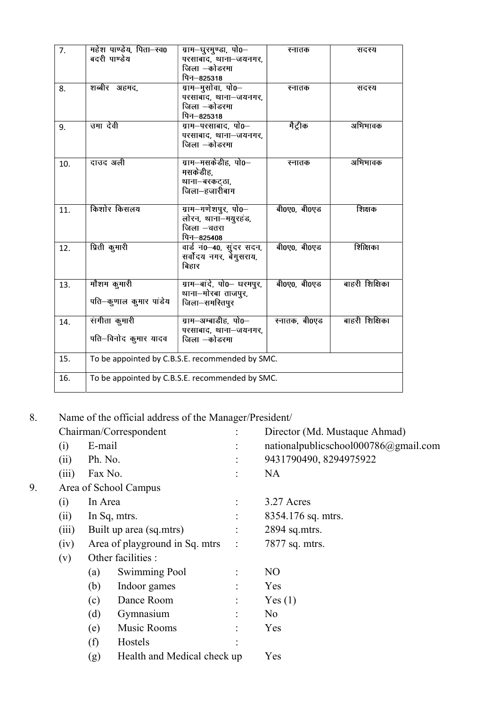| 7.  | महेश पाण्डेय, पिता-स्व0<br>बदरी पाण्डेय         | ग्राम–घुरमुण्डा, पो0–<br>परसाबाद, थाना-जयनगर,<br>जिला –कोडरमा<br>पिन–825318 | स्नातक        | सदस्य          |  |  |  |
|-----|-------------------------------------------------|-----------------------------------------------------------------------------|---------------|----------------|--|--|--|
| 8.  | शब्बीर अहमद,                                    | ग्राम—मुसोवा, पो0—<br>परसाबाद, थाना-जयनगर,<br>जिला –कोडरमा<br>पिन—825318    | स्नातक        | सदस्य          |  |  |  |
| 9.  | उमा देवी                                        | ग्राम-परसाबाद, पो0-<br>परसाबाद, थाना-जयनगर,<br>जिला –कोडरमा                 | मैट्रीक       | अभिभावक        |  |  |  |
| 10. | दाउद अली                                        | ग्राम—मसकेडीह, पो0—<br>मसकेडीह.<br>थाना–बरकट्ठा,<br>जिला–हजारीबाग           | स्नातक        | अभिभावक        |  |  |  |
| 11. | किशोर किसलय                                     | ग्राम–गणेशपुर, पो0–<br>लोरन, थाना-मयुरहड,<br>जिला –चतरा<br>पिन–825408       | बी0ए0, बी0एड  | शिक्षक         |  |  |  |
| 12. | प्रिती कुमारी                                   | वार्ड न0-40, सुंदर सदन,<br>सर्वोदय नगर, बेंगुसराय,<br>बिहार                 | बी0ए0, बी0एड  | शिक्षिका       |  |  |  |
| 13. | मौशम कुमारी<br>पति-कुणाल कुमार पांडेय           | ग्राम-बादे, पो0- धरमपुर,<br>थाना-मोरबा ताजपुर,<br>जिला-समस्तिपूर            | बी0ए0, बी0एड  | बाहरी शिक्षिका |  |  |  |
| 14. | संगीता कुमारी<br>पति-विनोद कुमार यादव           | ग्राम–अम्बाडीह, पो0–<br>परसाबाद, थाना-जयनगर,<br>जिला –कोडरमा                | स्नातक, बी0एड | बाहरी शिक्षिका |  |  |  |
| 15. | To be appointed by C.B.S.E. recommended by SMC. |                                                                             |               |                |  |  |  |
| 16. | To be appointed by C.B.S.E. recommended by SMC. |                                                                             |               |                |  |  |  |

8. Name of the official address of the Manager/President/

|    |       |         | Chairman/Correspondent         |                | Director (Md. Mustaque Ahmad)              |
|----|-------|---------|--------------------------------|----------------|--------------------------------------------|
|    | (i)   | E-mail  |                                | $\ddot{\cdot}$ | national publics chool $000786$ @gmail.com |
|    | (ii)  | Ph. No. |                                | $\bullet$      | 9431790490, 8294975922                     |
|    | (iii) | Fax No. |                                | $\bullet$      | <b>NA</b>                                  |
| 9. |       |         | Area of School Campus          |                |                                            |
|    | (i)   | In Area |                                | $\ddot{\cdot}$ | 3.27 Acres                                 |
|    | (ii)  |         | In Sq, mtrs.                   | $\ddot{\cdot}$ | 8354.176 sq. mtrs.                         |
|    | (iii) |         | Built up area (sq.mtrs)        |                | 2894 sq.mtrs.                              |
|    | (iv)  |         | Area of playground in Sq. mtrs | $\ddot{\cdot}$ | 7877 sq. mtrs.                             |
|    | (v)   |         | Other facilities :             |                |                                            |
|    |       | (a)     | Swimming Pool                  |                | N <sub>O</sub>                             |
|    |       | (b)     | Indoor games                   | $\ddot{\cdot}$ | Yes                                        |
|    |       | (c)     | Dance Room                     | $\ddot{\cdot}$ | Yes(1)                                     |
|    |       | (d)     | Gymnasium                      | $\ddot{\cdot}$ | N <sub>o</sub>                             |
|    |       | (e)     | Music Rooms                    |                | Yes                                        |
|    |       | (f)     | Hostels                        |                |                                            |
|    |       | (g)     | Health and Medical check up    |                | Yes                                        |
|    |       |         |                                |                |                                            |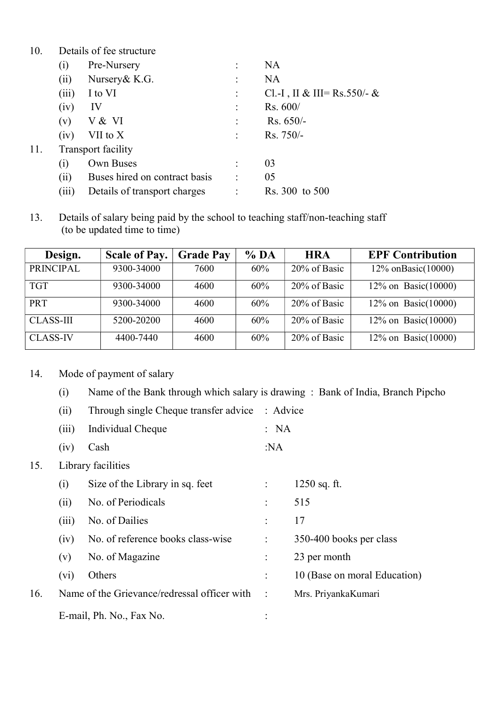| 10. |                   | Details of fee structure      |                             |
|-----|-------------------|-------------------------------|-----------------------------|
|     | $\left( i\right)$ | Pre-Nursery                   | <b>NA</b>                   |
|     | (ii)              | Nursery & K.G.                | <b>NA</b>                   |
|     | (iii)             | I to VI                       | Cl.-I, II & III= Rs.550/- & |
|     | (iv)              | IV                            | Rs. 600/                    |
|     | (v)               | V & VI                        | $Rs. 650/-$                 |
|     | (iv)              | VII to X                      | $Rs. 750/-$                 |
| 11. |                   | Transport facility            |                             |
|     | $\left( i\right)$ | Own Buses                     | 03                          |
|     | (ii)              | Buses hired on contract basis | 05                          |
|     | (iii)             | Details of transport charges  | Rs. 300 to 500              |

13. Details of salary being paid by the school to teaching staff/non-teaching staff (to be updated time to time)

| Design.          | <b>Scale of Pay.</b> | <b>Grade Pay</b> | % <sub>DA</sub> | <b>HRA</b>   | <b>EPF Contribution</b> |
|------------------|----------------------|------------------|-----------------|--------------|-------------------------|
| <b>PRINCIPAL</b> | 9300-34000           | 7600             | 60%             | 20% of Basic | 12\% onBasic(10000)     |
| <b>TGT</b>       | 9300-34000           | 4600             | 60%             | 20% of Basic | 12% on Basic $(10000)$  |
| PRT              | 9300-34000           | 4600             | 60%             | 20% of Basic | 12% on Basic $(10000)$  |
| <b>CLASS-III</b> | 5200-20200           | 4600             | 60%             | 20% of Basic | 12% on Basic $(10000)$  |
| <b>CLASS-IV</b>  | 4400-7440            | 4600             | 60%             | 20% of Basic | 12% on Basic $(10000)$  |

- 14. Mode of payment of salary
	- (i) Name of the Bank through which salary is drawing : Bank of India, Branch Pipcho

|     | (ii)    | Through single Cheque transfer advice        | : Advice             |                              |
|-----|---------|----------------------------------------------|----------------------|------------------------------|
|     | (iii)   | Individual Cheque                            | : NA                 |                              |
|     | (iv)    | Cash                                         | :NA                  |                              |
| 15. |         | Library facilities                           |                      |                              |
|     | (i)     | Size of the Library in sq. feet              |                      | $1250$ sq. ft.               |
|     | (ii)    | No. of Periodicals                           | $\ddot{\cdot}$       | 515                          |
|     | (iii)   | No. of Dailies                               | $\ddot{\cdot}$       | 17                           |
|     | (iv)    | No. of reference books class-wise            | $\ddot{\cdot}$       | 350-400 books per class      |
|     | (v)     | No. of Magazine                              | $\ddot{\cdot}$       | 23 per month                 |
|     | $(v_i)$ | Others                                       | $\ddot{\cdot}$       | 10 (Base on moral Education) |
| 16. |         | Name of the Grievance/redressal officer with | $\therefore$         | Mrs. PriyankaKumari          |
|     |         | E-mail, Ph. No., Fax No.                     | $\ddot{\phantom{0}}$ |                              |